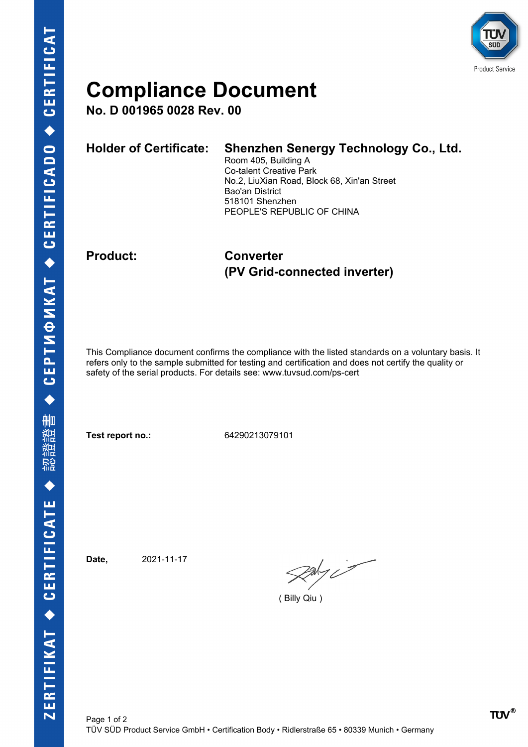

## **Compliance Document**

**No. D 001965 0028 Rev. 00**

| <b>Holder of Certificate:</b> | Shenzhen Senergy Technology Co., Ltd.<br>Room 405, Building A<br><b>Co-talent Creative Park</b><br>No.2, LiuXian Road, Block 68, Xin'an Street<br>Bao'an District<br>518101 Shenzhen<br>PEOPLE'S REPUBLIC OF CHINA |
|-------------------------------|--------------------------------------------------------------------------------------------------------------------------------------------------------------------------------------------------------------------|
|                               |                                                                                                                                                                                                                    |

**Product: Converter (PV Grid-connected inverter)**

This Compliance document confirms the compliance with the listed standards on a voluntary basis. It refers only to the sample submitted for testing and certification and does not certify the quality or safety of the serial products. For details see: www.tuvsud.com/ps-cert

**Test report no.:** 64290213079101

**Date,** 2021-11-17

 $\gg$ 

( Billy Qiu )